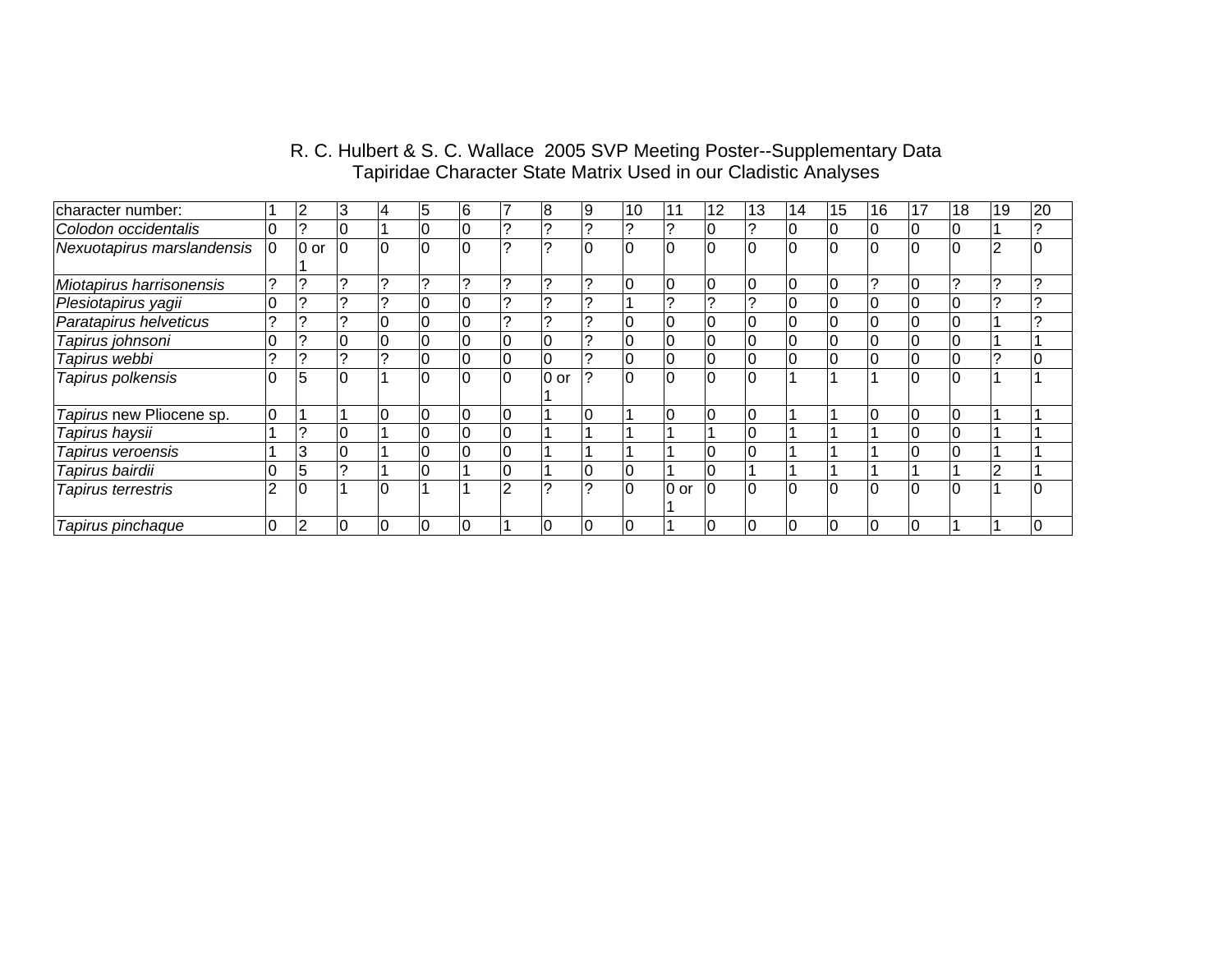| character number:          |                | 2      | 3              |                | ა        | 16             |    | 8      | 19             | 10             |          | 12             | 13             | 14              | 15 | 16 | 17 | 18 | 19 | 20       |
|----------------------------|----------------|--------|----------------|----------------|----------|----------------|----|--------|----------------|----------------|----------|----------------|----------------|-----------------|----|----|----|----|----|----------|
| Colodon occidentalis       |                | ⌒      |                |                |          | 10             |    |        |                |                |          | 0              |                | ιU              |    |    |    |    |    |          |
| Nexuotapirus marslandensis | $\overline{0}$ | $0$ or | $\overline{0}$ | $\overline{0}$ |          | I٥             |    |        |                | 0              |          | ı۵             |                | $\Omega$        |    | ١o |    |    |    | $\Omega$ |
| Miotapirus harrisonensis   |                |        |                |                |          | 2              |    |        |                | 0              | U        | $\overline{0}$ | 0              | 0               |    | 2  |    |    |    |          |
| Plesiotapirus yagii        |                | ⌒      |                | ⌒              |          | 10             |    | $\sim$ |                |                |          | $\sim$         |                | $\Omega$        |    |    |    |    |    |          |
| Paratapirus helveticus     |                |        |                | υ              |          | 10             |    |        |                | 0              |          | $\overline{0}$ |                | $\overline{0}$  |    |    |    |    |    |          |
| Tapirus johnsoni           |                |        | υ              | 0              | ιU       | $\overline{0}$ | U  |        |                | $\overline{0}$ | IJ       | $\overline{0}$ | U              | 0               |    | ιU |    | ιU |    |          |
| Tapirus webbi              |                |        |                |                | ιU       | $\overline{0}$ | ιU | υ      |                | $\overline{0}$ | U        | $\overline{0}$ | $\overline{0}$ | 0               |    | 0  |    | 0  |    | 10       |
| Tapirus polkensis          |                | 5      | $\overline{0}$ |                | $\Omega$ | I٥             | ΙO | $0$ or |                | $\overline{0}$ | $\Omega$ | $\Omega$       | ١O             |                 |    |    |    | ۱o |    |          |
| Tapirus new Pliocene sp.   | $\overline{0}$ |        |                | 0              | 10       | 0              | 10 |        | $\overline{0}$ |                | $\Omega$ | $\overline{0}$ | $\overline{0}$ |                 |    | lO | IО | l0 |    |          |
| Tapirus haysii             |                | っ      |                |                |          | $\overline{0}$ |    |        |                |                |          |                |                |                 |    |    |    |    |    |          |
| Tapirus veroensis          |                | 3      | 0              |                |          | $\overline{0}$ |    |        |                |                |          | $\overline{0}$ |                |                 |    |    |    |    |    |          |
| Tapirus bairdii            |                | 5      |                |                |          |                |    |        |                | 0              |          |                |                |                 |    |    |    |    |    |          |
| Tapirus terrestris         |                |        |                |                |          |                | ⌒  | $\sim$ |                | $\Omega$       | 0 or     | $\Omega$       |                | $\overline{10}$ |    |    |    |    |    |          |
| Tapirus pinchaque          |                | っ      |                |                |          |                |    |        |                |                |          |                |                |                 |    |    |    |    |    |          |

## R. C. Hulbert & S. C. Wallace 2005 SVP Meeting Poster--Supplementary Data Tapiridae Character State Matrix Used in our Cladistic Analyses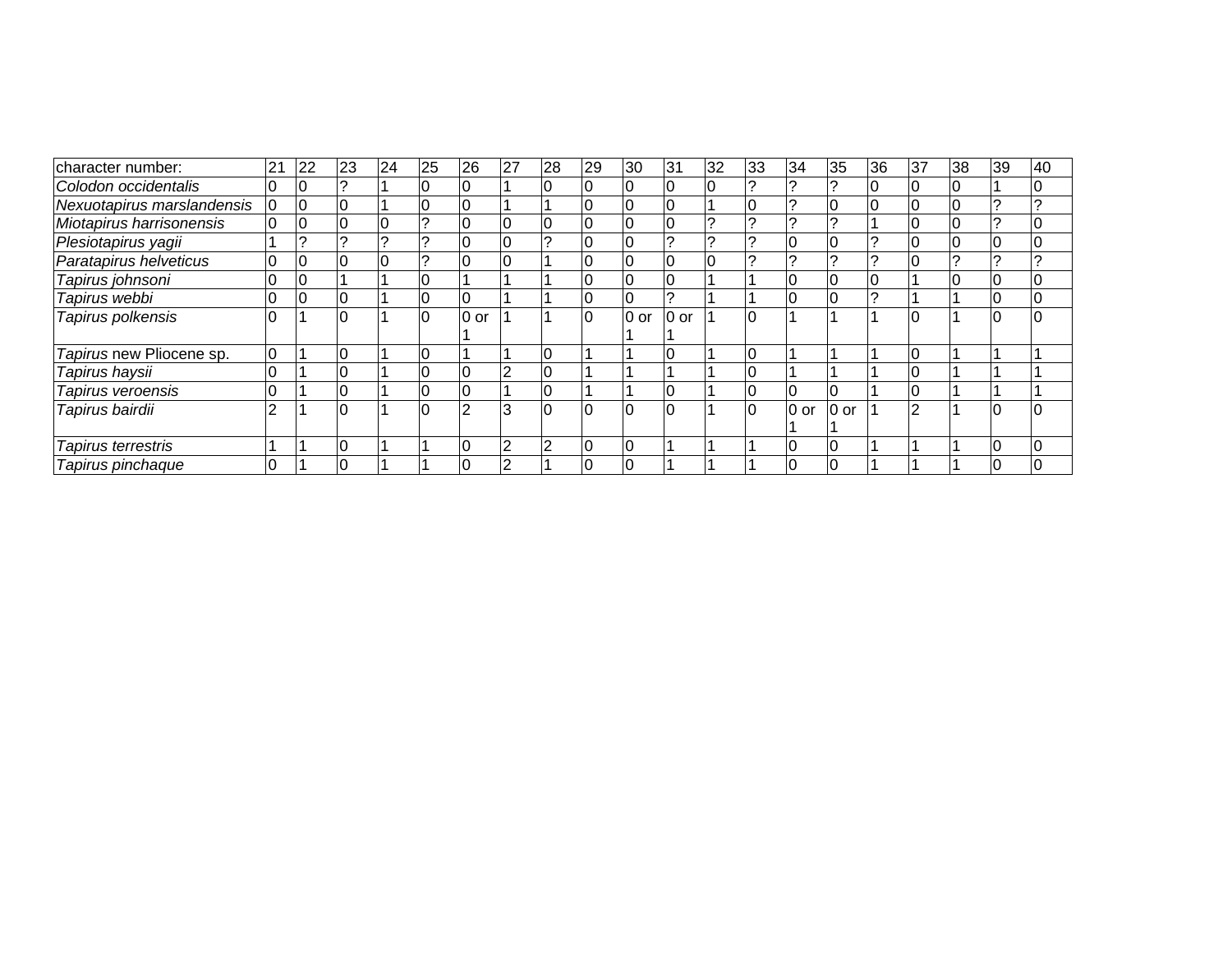| character number:          | 21             | 22 | 23 | 24 | 25 | 26             | 27 | 28 | 29 | 30   | 31      | 32 | 33 | 34             | 35      | 36 | 37 | 38 | 39 | 40 |
|----------------------------|----------------|----|----|----|----|----------------|----|----|----|------|---------|----|----|----------------|---------|----|----|----|----|----|
| Colodon occidentalis       | 0              |    |    |    |    |                |    |    |    |      |         |    |    |                |         |    |    |    |    |    |
| Nexuotapirus marslandensis | $\overline{0}$ | 10 |    |    |    |                |    |    |    |      |         |    |    |                |         |    |    |    |    |    |
| Miotapirus harrisonensis   | 10             | 10 |    |    |    |                |    |    |    |      |         |    |    |                |         |    |    |    |    |    |
| Plesiotapirus yagii        |                |    |    |    |    |                |    |    |    |      |         |    |    |                |         |    |    |    |    |    |
| Paratapirus helveticus     | 0              |    |    |    |    |                |    |    |    |      |         |    |    |                |         |    |    |    |    |    |
| Tapirus johnsoni           |                |    |    |    |    |                |    |    |    |      |         |    |    |                |         |    |    |    |    |    |
| Tapirus webbi              | 0              |    |    |    |    |                |    |    |    |      |         |    |    |                |         |    |    |    |    |    |
| Tapirus polkensis          |                |    | 10 |    | 10 | 0 or           |    |    | 10 | 0 or | $ 0$ or |    | 10 |                |         |    |    |    |    |    |
|                            |                |    |    |    |    |                |    |    |    |      |         |    |    |                |         |    |    |    |    |    |
| Tapirus new Pliocene sp.   | 10             |    |    |    |    |                |    |    |    |      |         |    |    |                |         |    |    |    |    |    |
| Tapirus haysii             |                |    |    |    |    |                |    |    |    |      |         |    |    |                |         |    |    |    |    |    |
| Tapirus veroensis          | $\mathbf 0$    |    |    |    |    |                |    | 0  |    |      |         |    |    | l0             |         |    |    |    |    |    |
| Tapirus bairdii            | っ              |    |    |    |    | $\overline{2}$ | 3  | 10 | ١O | 10   | ١O      |    | ١O | $ 0$ or        | $ 0$ or |    |    |    |    |    |
|                            |                |    |    |    |    |                |    |    |    |      |         |    |    |                |         |    |    |    |    |    |
| Tapirus terrestris         |                |    |    |    |    |                |    | 2  | 10 | 10   |         |    |    | $\overline{0}$ | ١O      |    |    |    |    | 10 |
| Tapirus pinchaque          |                |    |    |    |    |                |    |    |    |      |         |    |    |                |         |    |    |    |    |    |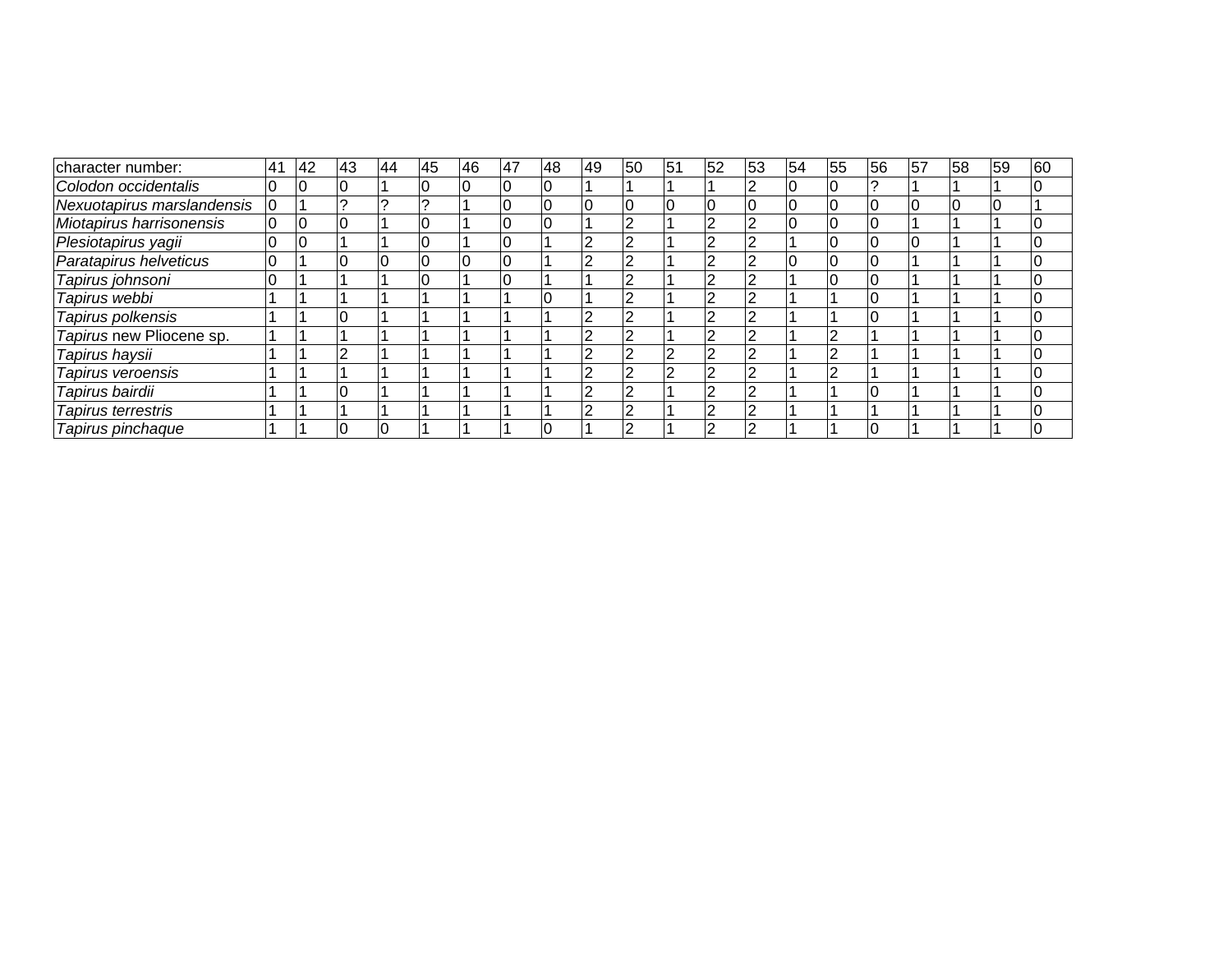| character number:          | 41 | 42 | 43 | 44 | 45 | 146 | 47 | 48 | <b>49</b> | 50 | 51 | 52 | 53 | 54 | 55 | 56 | 57 | 58 | 59 | 60 |
|----------------------------|----|----|----|----|----|-----|----|----|-----------|----|----|----|----|----|----|----|----|----|----|----|
| Colodon occidentalis       |    | 10 |    |    |    | 10  |    | 10 |           |    |    |    |    |    |    |    |    |    |    |    |
| Nexuotapirus marslandensis |    |    |    |    |    |     |    |    |           |    |    |    |    |    |    |    |    |    |    |    |
| Miotapirus harrisonensis   | 0  | 10 |    |    |    |     |    |    |           |    |    |    |    |    |    |    |    |    |    |    |
| Plesiotapirus yagii        |    | ١O |    |    |    |     |    |    |           |    |    |    |    |    |    |    |    |    |    |    |
| Paratapirus helveticus     |    |    |    |    |    | ΙO  |    |    |           |    |    |    |    |    |    |    |    |    |    |    |
| Tapirus johnsoni           |    |    |    |    |    |     |    |    |           |    |    |    |    |    |    |    |    |    |    |    |
| Tapirus webbi              |    |    |    |    |    |     |    |    |           |    |    |    |    |    |    |    |    |    |    |    |
| Tapirus polkensis          |    |    |    |    |    |     |    |    |           |    |    |    |    |    |    |    |    |    |    |    |
| Tapirus new Pliocene sp.   |    |    |    |    |    |     |    |    |           |    |    |    |    |    |    |    |    |    |    |    |
| Tapirus haysii             |    |    |    |    |    |     |    |    |           |    |    |    |    |    |    |    |    |    |    |    |
| Tapirus veroensis          |    |    |    |    |    |     |    |    |           |    |    |    |    |    |    |    |    |    |    |    |
| Tapirus bairdii            |    |    |    |    |    |     |    |    |           |    |    |    |    |    |    |    |    |    |    |    |
| Tapirus terrestris         |    |    |    |    |    |     |    |    |           |    |    |    |    |    |    |    |    |    |    |    |
| Tapirus pinchaque          |    |    |    | IO |    |     |    |    |           |    |    |    |    |    |    |    |    |    |    |    |